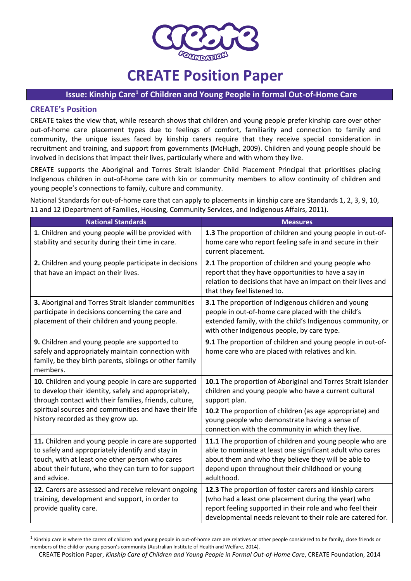

# **CREATE Position Paper**

## **Issue: Kinship Care<sup>1</sup> of Children and Young People in formal Out-of-Home Care**

## **CREATE's Position**

 $\overline{a}$ 

CREATE takes the view that, while research shows that children and young people prefer kinship care over other out-of-home care placement types due to feelings of comfort, familiarity and connection to family and community, the unique issues faced by kinship carers require that they receive special consideration in recruitment and training, and support from governments (McHugh, 2009). Children and young people should be involved in decisions that impact their lives, particularly where and with whom they live.

CREATE supports the Aboriginal and Torres Strait Islander Child Placement Principal that prioritises placing Indigenous children in out-of-home care with kin or community members to allow continuity of children and young people's connections to family, culture and community.

National Standards for out-of-home care that can apply to placements in kinship care are Standards 1, 2, 3, 9, 10, 11 and 12 (Department of Families, Housing, Community Services, and Indigenous Affairs, 2011).

| <b>National Standards</b>                                                                                                                                                                                                                                           | <b>Measures</b>                                                                                                                                                                                                                                                                                           |
|---------------------------------------------------------------------------------------------------------------------------------------------------------------------------------------------------------------------------------------------------------------------|-----------------------------------------------------------------------------------------------------------------------------------------------------------------------------------------------------------------------------------------------------------------------------------------------------------|
| 1. Children and young people will be provided with<br>stability and security during their time in care.                                                                                                                                                             | 1.3 The proportion of children and young people in out-of-<br>home care who report feeling safe in and secure in their<br>current placement.                                                                                                                                                              |
| 2. Children and young people participate in decisions<br>that have an impact on their lives.                                                                                                                                                                        | 2.1 The proportion of children and young people who<br>report that they have opportunities to have a say in<br>relation to decisions that have an impact on their lives and<br>that they feel listened to.                                                                                                |
| 3. Aboriginal and Torres Strait Islander communities<br>participate in decisions concerning the care and<br>placement of their children and young people.                                                                                                           | 3.1 The proportion of Indigenous children and young<br>people in out-of-home care placed with the child's<br>extended family, with the child's Indigenous community, or<br>with other Indigenous people, by care type.                                                                                    |
| 9. Children and young people are supported to<br>safely and appropriately maintain connection with<br>family, be they birth parents, siblings or other family<br>members.                                                                                           | 9.1 The proportion of children and young people in out-of-<br>home care who are placed with relatives and kin.                                                                                                                                                                                            |
| 10. Children and young people in care are supported<br>to develop their identity, safely and appropriately,<br>through contact with their families, friends, culture,<br>spiritual sources and communities and have their life<br>history recorded as they grow up. | 10.1 The proportion of Aboriginal and Torres Strait Islander<br>children and young people who have a current cultural<br>support plan.<br>10.2 The proportion of children (as age appropriate) and<br>young people who demonstrate having a sense of<br>connection with the community in which they live. |
| 11. Children and young people in care are supported<br>to safely and appropriately identify and stay in<br>touch, with at least one other person who cares<br>about their future, who they can turn to for support<br>and advice.                                   | 11.1 The proportion of children and young people who are<br>able to nominate at least one significant adult who cares<br>about them and who they believe they will be able to<br>depend upon throughout their childhood or young<br>adulthood.                                                            |
| 12. Carers are assessed and receive relevant ongoing<br>training, development and support, in order to<br>provide quality care.                                                                                                                                     | 12.3 The proportion of foster carers and kinship carers<br>(who had a least one placement during the year) who<br>report feeling supported in their role and who feel their<br>developmental needs relevant to their role are catered for.                                                                |

 $^1$  Kinship care is where the carers of children and young people in out-of-home care are relatives or other people considered to be family, close friends or members of the child or young person's community (Australian Institute of Health and Welfare, 2014).

CREATE Position Paper, *Kinship Care of Children and Young People in Formal Out-of-Home Care*, CREATE Foundation, 2014